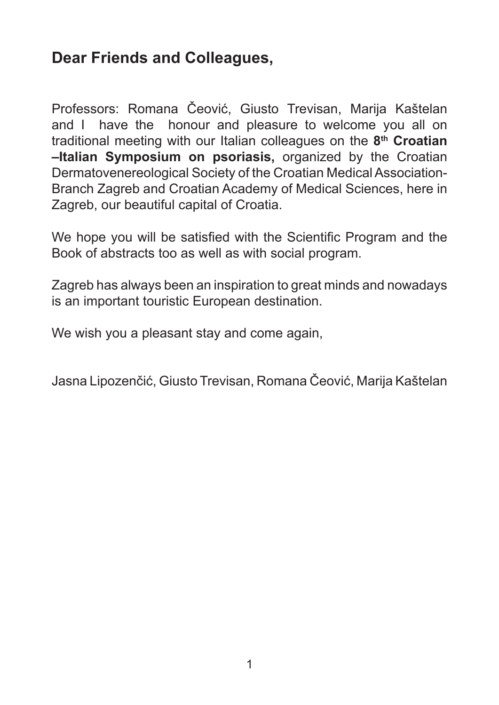# **Dear Friends and Colleagues,**

Professors: Romana Čeović, Giusto Trevisan, Marija Kaštelan and I have the honour and pleasure to welcome you all on traditional meeting with our Italian colleagues on the **8th Croatian –Italian Symposium on psoriasis,** organized by the Croatian Dermatovenereological Society of the Croatian Medical Association-Branch Zagreb and Croatian Academy of Medical Sciences, here in Zagreb, our beautiful capital of Croatia.

We hope you will be satisfied with the Scientific Program and the Book of abstracts too as well as with social program.

Zagreb has always been an inspiration to great minds and nowadays is an important touristic European destination.

We wish you a pleasant stay and come again,

Jasna Lipozenčić, Giusto Trevisan, Romana Čeović, Marija Kaštelan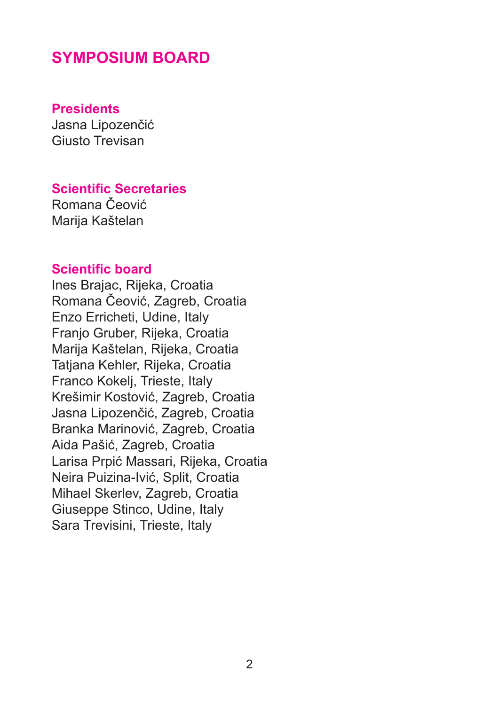## **SYMPOSIUM BOARD**

#### **Presidents**

Jasna Lipozenčić Giusto Trevisan

#### **Scientific Secretaries**

Romana Čeović Marija Kaštelan

### **Scientific board**

Ines Brajac, Rijeka, Croatia Romana Čeović, Zagreb, Croatia Enzo Erricheti, Udine, Italy Franjo Gruber, Rijeka, Croatia Marija Kaštelan, Rijeka, Croatia Tatiana Kehler, Rijeka, Croatia Franco Kokelj, Trieste, Italy Krešimir Kostović, Zagreb, Croatia Jasna Lipozenčić, Zagreb, Croatia Branka Marinović, Zagreb, Croatia Aida Pašić, Zagreb, Croatia Larisa Prpić Massari, Rijeka, Croatia Neira Puizina-Ivić, Split, Croatia Mihael Skerlev, Zagreb, Croatia Giuseppe Stinco, Udine, Italy Sara Trevisini, Trieste, Italy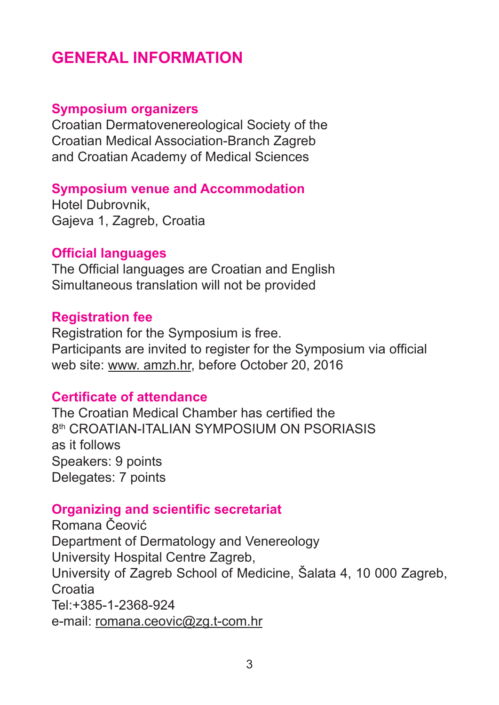# **GENERAL INFORMATION**

#### **Symposium organizers**

Croatian Dermatovenereological Society of the Croatian Medical Association-Branch Zagreb and Croatian Academy of Medical Sciences

#### **Symposium venue and Accommodation**

Hotel Dubrovnik, Gajeva 1, Zagreb, Croatia

#### **Official languages**

The Official languages are Croatian and English Simultaneous translation will not be provided

#### **Registration fee**

Registration for the Symposium is free. Participants are invited to register for the Symposium via official web site: www. amzh.hr, before October 20, 2016

#### **Certificate of attendance**

The Croatian Medical Chamber has certified the 8th CROATIAN-ITALIAN SYMPOSIUM ON PSORIASIS as it follows Speakers: 9 points Delegates: 7 points

#### **Organizing and scientific secretariat**

Romana Čeović Department of Dermatology and Venereology University Hospital Centre Zagreb, University of Zagreb School of Medicine, Šalata 4, 10 000 Zagreb, **Croatia** Tel:+385-1-2368-924 e-mail: romana.ceovic@zg.t-com.hr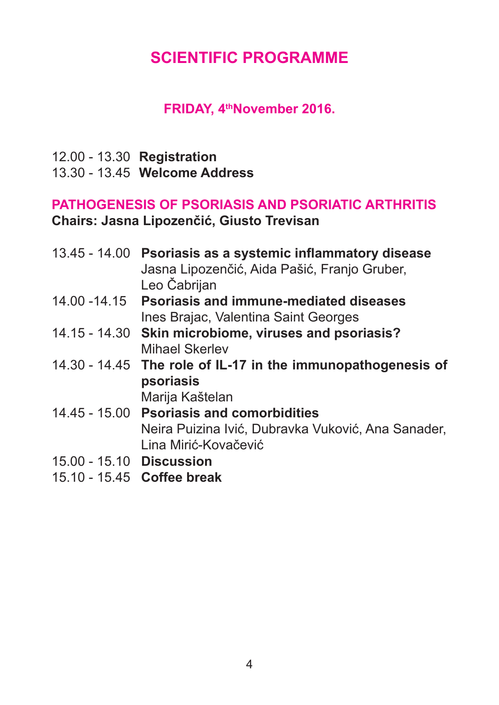# **SCIENTIFIC PROGRAMME**

### **FRIDAY, 4thNovember 2016.**

12.00 - 13.30 **Registration** 13.30 - 13.45 **Welcome Address** 

## **PATHOGENESIS OF PSORIASIS AND PSORIATIC ARTHRITIS Chairs: Jasna Lipozenčić, Giusto Trevisan**

|  | 13.45 - 14.00 Psoriasis as a systemic inflammatory disease   |
|--|--------------------------------------------------------------|
|  | Jasna Lipozenčić, Aida Pašić, Franjo Gruber,                 |
|  | Leo Čabrijan                                                 |
|  | 14.00 -14.15 Psoriasis and immune-mediated diseases          |
|  | Ines Brajac, Valentina Saint Georges                         |
|  | 14.15 - 14.30 Skin microbiome, viruses and psoriasis?        |
|  | <b>Mihael Skerlev</b>                                        |
|  | 14.30 - 14.45 The role of IL-17 in the immunopathogenesis of |
|  | psoriasis                                                    |
|  | Marija Kaštelan                                              |
|  | 14.45 - 15.00 Psoriasis and comorbidities                    |

Neira Puizina Ivić, Dubravka Vuković, Ana Sanader, Lina Mirić-Kovačević

- 15.00 15.10 **Discussion**
- 15.10 15.45 **Coffee break**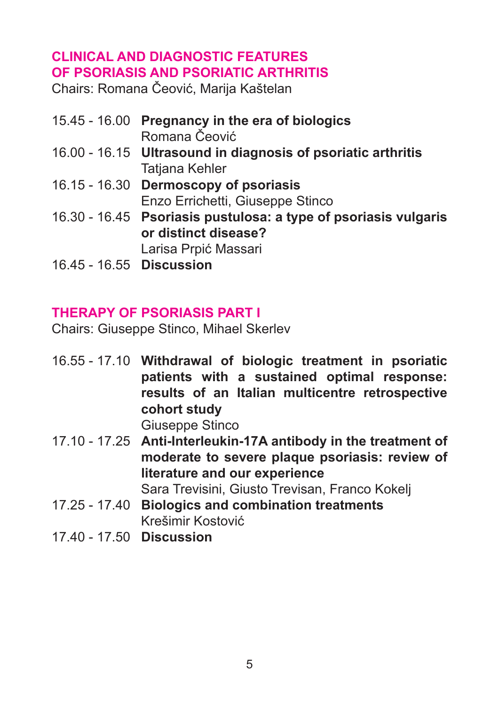## **CLINICAL AND DIAGNOSTIC FEATURES OF PSORIASIS AND PSORIATIC ARTHRITIS**

Chairs: Romana Čeović, Marija Kaštelan

15.45 - 16.00 **Pregnancy in the era of biologics** Romana Čeović 16.00 - 16.15 **Ultrasound in diagnosis of psoriatic arthritis** Tatjana Kehler 16.15 - 16.30 **Dermoscopy of psoriasis** Enzo Errichetti, Giuseppe Stinco 16.30 - 16.45 **Psoriasis pustulosa: a type of psoriasis vulgaris or distinct disease?** Larisa Prpić Massari 16.45 - 16.55 **Discussion**

## **THERAPY OF PSORIASIS PART I**

Chairs: Giuseppe Stinco, Mihael Skerlev

16.55 - 17.10 **Withdrawal of biologic treatment in psoriatic patients with a sustained optimal response: results of an Italian multicentre retrospective cohort study**

Giuseppe Stinco

- 17.10 17.25 **Anti-Interleukin-17A antibody in the treatment of moderate to severe plaque psoriasis: review of literature and our experience** Sara Trevisini, Giusto Trevisan, Franco Kokelj
- 17.25 17.40 **Biologics and combination treatments** Krešimir Kostović
- 17.40 17.50 **Discussion**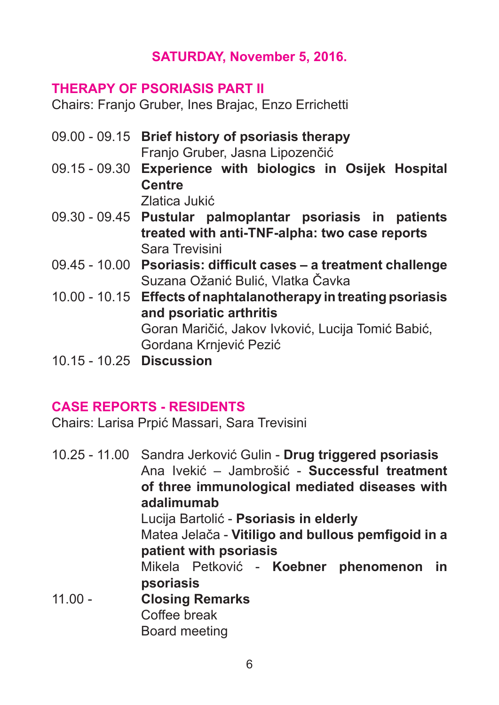## **SATURDAY, November 5, 2016.**

#### **THERAPY OF PSORIASIS PART II**

Chairs: Franjo Gruber, Ines Brajac, Enzo Errichetti

- 09.00 09.15 **Brief history of psoriasis therapy** Franjo Gruber, Jasna Lipozenčić
- 09.15 09.30 **Experience with biologics in Osijek Hospital Centre**

Zlatica Jukić

- 09.30 09.45 **Pustular palmoplantar psoriasis in patients treated with anti-TNF-alpha: two case reports** Sara Trevisini
- 09.45 10.00 **Psoriasis: difficult cases a treatment challenge** Suzana Ožanić Bulić, Vlatka Čavka
- 10.00 10.15 **Effects of naphtalanotherapy in treating psoriasis and psoriatic arthritis** Goran Maričić, Jakov Ivković, Lucija Tomić Babić,

Gordana Krnjević Pezić

10.15 - 10.25 **Discussion** 

## **CASE REPORTS - RESIDENTS**

Chairs: Larisa Prpić Massari, Sara Trevisini

10.25 - 11.00 Sandra Jerković Gulin - **Drug triggered psoriasis** Ana Ivekić – Jambrošić - **Successful treatment of three immunological mediated diseases with adalimumab** Lucija Bartolić - **Psoriasis in elderly** Matea Jelača - **Vitiligo and bullous pemfigoid in a patient with psoriasis** Mikela Petković - **Koebner phenomenon in psoriasis** 11.00 - **Closing Remarks** Coffee break Board meeting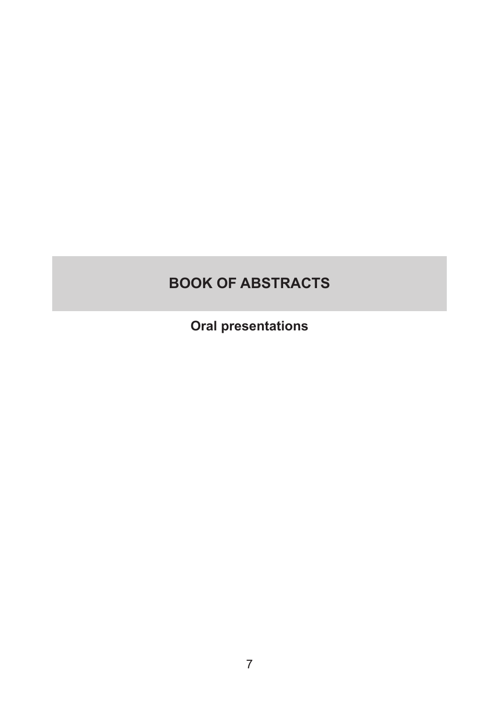# **BOOK OF ABSTRACTS**

**Oral presentations**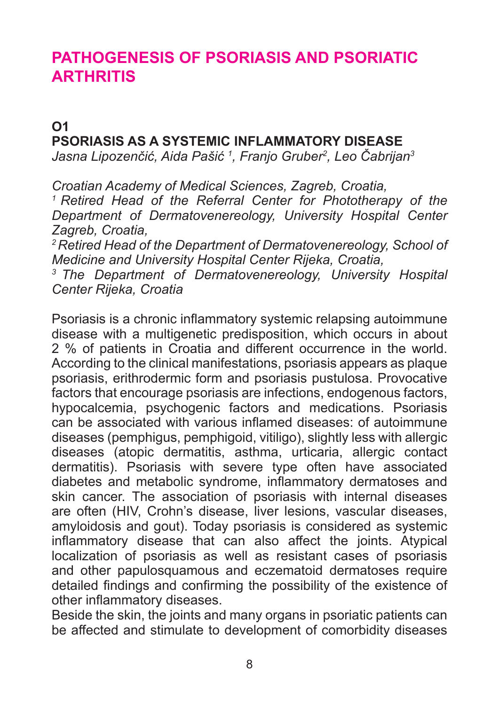# **PATHOGENESIS OF PSORIASIS AND PSORIATIC ARTHRITIS**

## **O1 PSORIASIS AS A SYSTEMIC INFLAMMATORY DISEASE**

*Jasna Lipozenčić, Aida Pašić <sup>1</sup> , Franjo Gruber<sup>2</sup> , Leo Čabrijan<sup>3</sup>*

*Croatian Academy of Medical Sciences, Zagreb, Croatia, <sup>1</sup>Retired Head of the Referral Center for Phototherapy of the Department of Dermatovenereology, University Hospital Center Zagreb, Croatia,*

*<sup>2</sup>Retired Head of the Department of Dermatovenereology, School of Medicine and University Hospital Center Rijeka, Croatia,*

*<sup>3</sup>The Department of Dermatovenereology, University Hospital Center Rijeka, Croatia* 

Psoriasis is a chronic inflammatory systemic relapsing autoimmune disease with a multigenetic predisposition, which occurs in about 2 % of patients in Croatia and different occurrence in the world. According to the clinical manifestations, psoriasis appears as plaque psoriasis, erithrodermic form and psoriasis pustulosa. Provocative factors that encourage psoriasis are infections, endogenous factors, hypocalcemia, psychogenic factors and medications. Psoriasis can be associated with various inflamed diseases: of autoimmune diseases (pemphigus, pemphigoid, vitiligo), slightly less with allergic diseases (atopic dermatitis, asthma, urticaria, allergic contact dermatitis). Psoriasis with severe type often have associated diabetes and metabolic syndrome, inflammatory dermatoses and skin cancer. The association of psoriasis with internal diseases are often (HIV, Crohn's disease, liver lesions, vascular diseases, amyloidosis and gout). Today psoriasis is considered as systemic inflammatory disease that can also affect the joints. Atypical localization of psoriasis as well as resistant cases of psoriasis and other papulosquamous and eczematoid dermatoses require detailed findings and confirming the possibility of the existence of other inflammatory diseases.

Beside the skin, the joints and many organs in psoriatic patients can be affected and stimulate to development of comorbidity diseases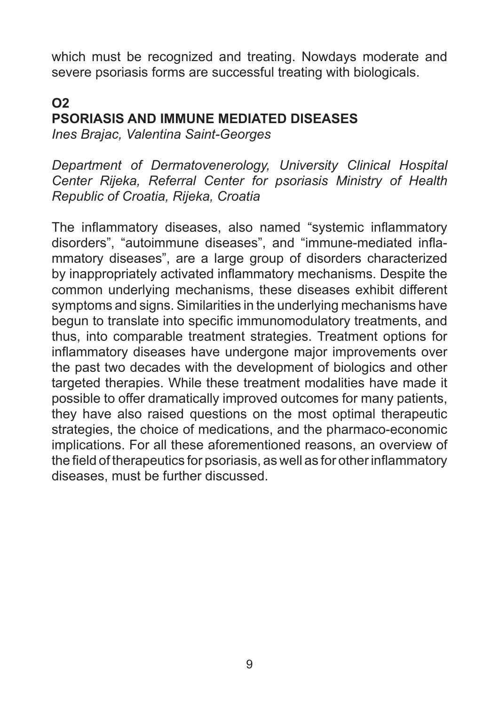which must be recognized and treating. Nowdays moderate and severe psoriasis forms are successful treating with biologicals.

## **O2 PSORIASIS AND IMMUNE MEDIATED DISEASES**

*Ines Brajac, Valentina Saint-Georges*

*Department of Dermatovenerology, University Clinical Hospital Center Rijeka, Referral Center for psoriasis Ministry of Health Republic of Croatia, Rijeka, Croatia*

The inflammatory diseases, also named "systemic inflammatory disorders", "autoimmune diseases", and "immune-mediated inflammatory diseases", are a large group of disorders characterized by inappropriately activated inflammatory mechanisms. Despite the common underlying mechanisms, these diseases exhibit different symptoms and signs. Similarities in the underlying mechanisms have begun to translate into specific immunomodulatory treatments, and thus, into comparable treatment strategies. Treatment options for inflammatory diseases have undergone major improvements over the past two decades with the development of biologics and other targeted therapies. While these treatment modalities have made it possible to offer dramatically improved outcomes for many patients, they have also raised questions on the most optimal therapeutic strategies, the choice of medications, and the pharmaco-economic implications. For all these aforementioned reasons, an overview of the field of therapeutics for psoriasis, as well as for other inflammatory diseases, must be further discussed.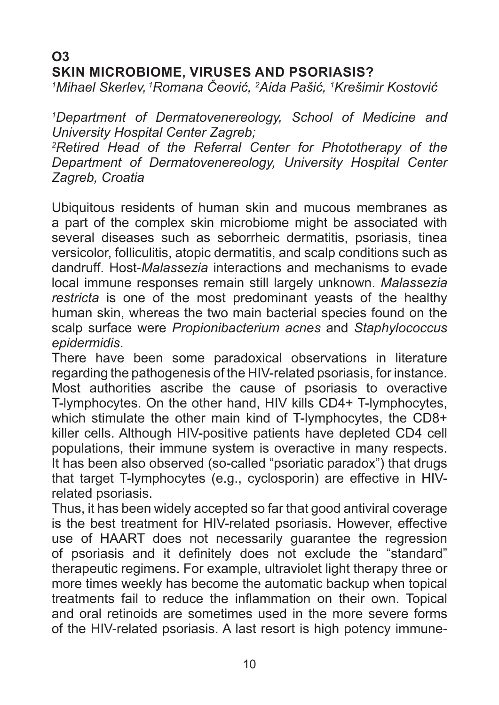## **O3 SKIN MICROBIOME, VIRUSES AND PSORIASIS?**

*1 Mihael Skerlev,<sup>1</sup>Romana Čeović, <sup>2</sup> Aida Pašić, <sup>1</sup> Krešimir Kostović*

*1 Department of Dermatovenereology, School of Medicine and University Hospital Center Zagreb;* 

*2 Retired Head of the Referral Center for Phototherapy of the Department of Dermatovenereology, University Hospital Center Zagreb, Croatia*

Ubiquitous residents of human skin and mucous membranes as a part of the complex skin microbiome might be associated with several diseases such as seborrheic dermatitis, psoriasis, tinea versicolor, folliculitis, atopic dermatitis, and scalp conditions such as dandruff. Host-*Malassezia* interactions and mechanisms to evade local immune responses remain still largely unknown. *Malassezia restricta* is one of the most predominant yeasts of the healthy human skin, whereas the two main bacterial species found on the scalp surface were *Propionibacterium acnes* and *Staphylococcus epidermidis*.

There have been some paradoxical observations in literature regarding the pathogenesis of the HIV-related psoriasis, for instance. Most authorities ascribe the cause of psoriasis to overactive T-lymphocytes. On the other hand, HIV kills CD4+ T-lymphocytes, which stimulate the other main kind of T-lymphocytes, the CD8+ killer cells. Although HIV-positive patients have depleted CD4 cell populations, their immune system is overactive in many respects. It has been also observed (so-called "psoriatic paradox") that drugs that target T-lymphocytes (e.g., cyclosporin) are effective in HIVrelated psoriasis.

Thus, it has been widely accepted so far that good antiviral coverage is the best treatment for HIV-related psoriasis. However, effective use of HAART does not necessarily guarantee the regression of psoriasis and it definitely does not exclude the "standard" therapeutic regimens. For example, ultraviolet light therapy three or more times weekly has become the automatic backup when topical treatments fail to reduce the inflammation on their own. Topical and oral retinoids are sometimes used in the more severe forms of the HIV-related psoriasis. A last resort is high potency immune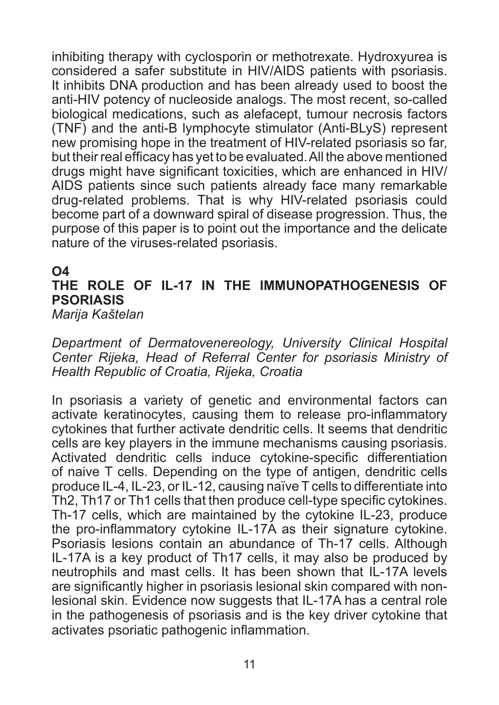inhibiting therapy with cyclosporin or methotrexate. Hydroxyurea is considered a safer substitute in HIV/AIDS patients with psoriasis. It inhibits DNA production and has been already used to boost the anti-HIV potency of nucleoside analogs. The most recent, so-called biological medications, such as alefacept, tumour necrosis factors (TNF) and the anti-B lymphocyte stimulator (Anti-BLyS) represent new promising hope in the treatment of HIV-related psoriasis so far, but their real efficacy has yet to be evaluated. All the above mentioned drugs might have significant toxicities, which are enhanced in HIV/ AIDS patients since such patients already face many remarkable drug-related problems. That is why HIV-related psoriasis could become part of a downward spiral of disease progression. Thus, the purpose of this paper is to point out the importance and the delicate nature of the viruses-related psoriasis.

#### **O4**

## **THE ROLE OF IL-17 IN THE IMMUNOPATHOGENESIS OF PSORIASIS**

*Marija Kaštelan* 

*Department of Dermatovenereology, University Clinical Hospital Center Rijeka, Head of Referral Center for psoriasis Ministry of Health Republic of Croatia, Rijeka, Croatia*

In psoriasis a variety of genetic and environmental factors can activate keratinocytes, causing them to release pro-inflammatory cytokines that further activate dendritic cells. It seems that dendritic cells are key players in the immune mechanisms causing psoriasis. Activated dendritic cells induce cytokine-specific differentiation of naive T cells. Depending on the type of antigen, dendritic cells produce IL-4, IL-23, or IL-12, causing naïve T cells to differentiate into Th2, Th17 or Th1 cells that then produce cell-type specific cytokines. Th-17 cells, which are maintained by the cytokine IL-23, produce the pro-inflammatory cytokine IL-17A as their signature cytokine. Psoriasis lesions contain an abundance of Th-17 cells. Although IL-17A is a key product of Th17 cells, it may also be produced by neutrophils and mast cells. It has been shown that IL-17A levels are significantly higher in psoriasis lesional skin compared with nonlesional skin. Evidence now suggests that IL-17A has a central role in the pathogenesis of psoriasis and is the key driver cytokine that activates psoriatic pathogenic inflammation.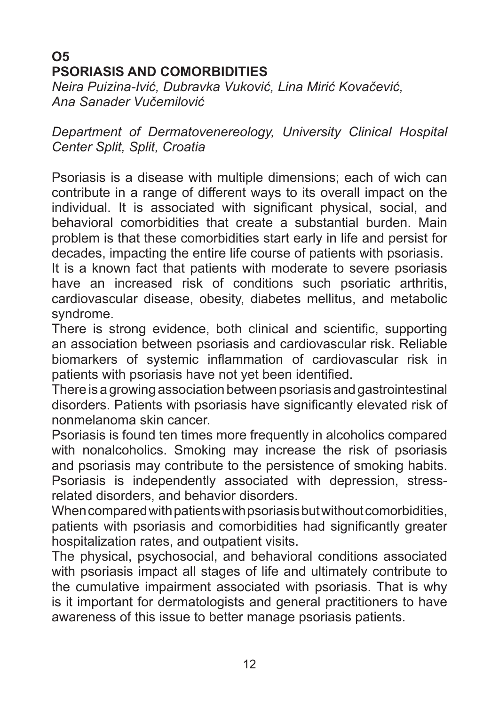## **O5 PSORIASIS AND COMORBIDITIES**

*Neira Puizina-Ivić, Dubravka Vuković, Lina Mirić Kovačević, Ana Sanader Vučemilović*

*Department of Dermatovenereology, University Clinical Hospital Center Split, Split, Croatia*

Psoriasis is a disease with multiple dimensions; each of wich can contribute in a range of different ways to its overall impact on the individual. It is associated with significant physical, social, and behavioral comorbidities that create a substantial burden. Main problem is that these comorbidities start early in life and persist for decades, impacting the entire life course of patients with psoriasis.

It is a known fact that patients with moderate to severe psoriasis have an increased risk of conditions such psoriatic arthritis, cardiovascular disease, obesity, diabetes mellitus, and metabolic syndrome.

There is strong evidence, both clinical and scientific, supporting an association between psoriasis and cardiovascular risk. Reliable biomarkers of systemic inflammation of cardiovascular risk in patients with psoriasis have not yet been identified.

There is a growing association between psoriasis and gastrointestinal disorders. Patients with psoriasis have significantly elevated risk of nonmelanoma skin cancer.

Psoriasis is found ten times more frequently in alcoholics compared with nonalcoholics. Smoking may increase the risk of psoriasis and psoriasis may contribute to the persistence of smoking habits. Psoriasis is independently associated with depression, stressrelated disorders, and behavior disorders.

When compared with patients with psoriasis but without comorbidities, patients with psoriasis and comorbidities had significantly greater hospitalization rates, and outpatient visits.

The physical, psychosocial, and behavioral conditions associated with psoriasis impact all stages of life and ultimately contribute to the cumulative impairment associated with psoriasis. That is why is it important for dermatologists and general practitioners to have awareness of this issue to better manage psoriasis patients.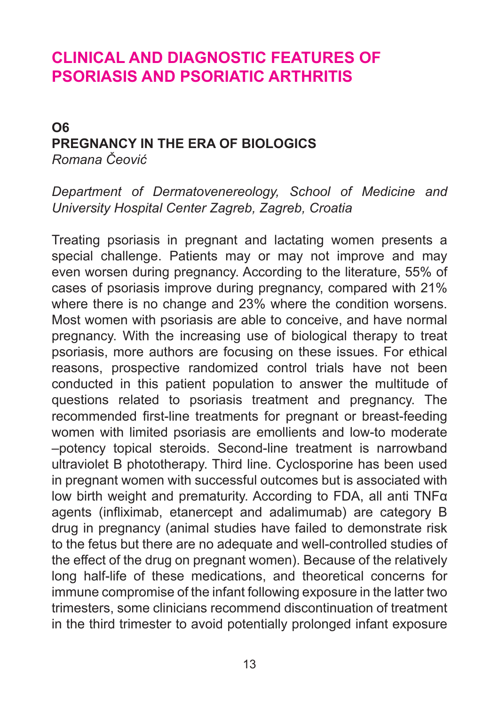# **CLINICAL AND DIAGNOSTIC FEATURES OF PSORIASIS AND PSORIATIC ARTHRITIS**

### **O6 PREGNANCY IN THE ERA OF BIOLOGICS** *Romana Čeović*

*Department of Dermatovenereology, School of Medicine and University Hospital Center Zagreb, Zagreb, Croatia* 

Treating psoriasis in pregnant and lactating women presents a special challenge. Patients may or may not improve and may even worsen during pregnancy. According to the literature, 55% of cases of psoriasis improve during pregnancy, compared with 21% where there is no change and 23% where the condition worsens. Most women with psoriasis are able to conceive, and have normal pregnancy. With the increasing use of biological therapy to treat psoriasis, more authors are focusing on these issues. For ethical reasons, prospective randomized control trials have not been conducted in this patient population to answer the multitude of questions related to psoriasis treatment and pregnancy. The recommended first-line treatments for pregnant or breast-feeding women with limited psoriasis are emollients and low-to moderate –potency topical steroids. Second-line treatment is narrowband ultraviolet B phototherapy. Third line. Cyclosporine has been used in pregnant women with successful outcomes but is associated with low birth weight and prematurity. According to FDA, all anti TNFα agents (infliximab, etanercept and adalimumab) are category B drug in pregnancy (animal studies have failed to demonstrate risk to the fetus but there are no adequate and well-controlled studies of the effect of the drug on pregnant women). Because of the relatively long half-life of these medications, and theoretical concerns for immune compromise of the infant following exposure in the latter two trimesters, some clinicians recommend discontinuation of treatment in the third trimester to avoid potentially prolonged infant exposure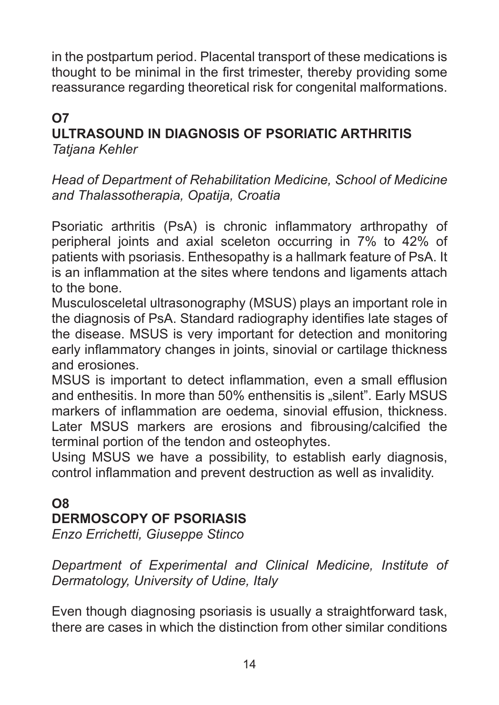in the postpartum period. Placental transport of these medications is thought to be minimal in the first trimester, thereby providing some reassurance regarding theoretical risk for congenital malformations.

## **O7**

### **ULTRASOUND IN DIAGNOSIS OF PSORIATIC ARTHRITIS** *Tatjana Kehler*

*Head of Department of Rehabilitation Medicine, School of Medicine and Thalassotherapia, Opatija, Croatia*

Psoriatic arthritis (PsA) is chronic inflammatory arthropathy of peripheral joints and axial sceleton occurring in 7% to 42% of patients with psoriasis. Enthesopathy is a hallmark feature of PsA. It is an inflammation at the sites where tendons and ligaments attach to the bone.

Musculosceletal ultrasonography (MSUS) plays an important role in the diagnosis of PsA. Standard radiography identifies late stages of the disease. MSUS is very important for detection and monitoring early inflammatory changes in joints, sinovial or cartilage thickness and erosiones.

MSUS is important to detect inflammation, even a small efflusion and enthesitis. In more than 50% enthensitis is "silent". Early MSUS markers of inflammation are oedema, sinovial effusion, thickness. Later MSUS markers are erosions and fibrousing/calcified the terminal portion of the tendon and osteophytes.

Using MSUS we have a possibility, to establish early diagnosis, control inflammation and prevent destruction as well as invalidity.

## **O8 DERMOSCOPY OF PSORIASIS**

*Enzo Errichetti, Giuseppe Stinco*

*Department of Experimental and Clinical Medicine, Institute of Dermatology, University of Udine, Italy*

Even though diagnosing psoriasis is usually a straightforward task, there are cases in which the distinction from other similar conditions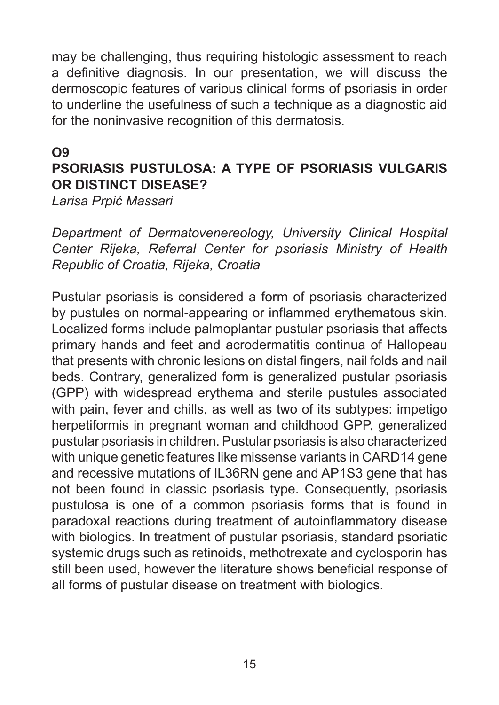may be challenging, thus requiring histologic assessment to reach a definitive diagnosis. In our presentation, we will discuss the dermoscopic features of various clinical forms of psoriasis in order to underline the usefulness of such a technique as a diagnostic aid for the noninvasive recognition of this dermatosis.

#### **O9**

## **PSORIASIS PUSTULOSA: A TYPE OF PSORIASIS VULGARIS OR DISTINCT DISEASE?**

*Larisa Prpić Massari*

*Department of Dermatovenereology, University Clinical Hospital Center Rijeka, Referral Center for psoriasis Ministry of Health Republic of Croatia, Rijeka, Croatia*

Pustular psoriasis is considered a form of psoriasis characterized by pustules on normal-appearing or inflammed erythematous skin. Localized forms include palmoplantar pustular psoriasis that affects primary hands and feet and acrodermatitis continua of Hallopeau that presents with chronic lesions on distal fingers, nail folds and nail beds. Contrary, generalized form is generalized pustular psoriasis (GPP) with widespread erythema and sterile pustules associated with pain, fever and chills, as well as two of its subtypes: impetigo herpetiformis in pregnant woman and childhood GPP, generalized pustular psoriasis in children. Pustular psoriasis is also characterized with unique genetic features like missense variants in CARD14 gene and recessive mutations of IL36RN gene and AP1S3 gene that has not been found in classic psoriasis type. Consequently, psoriasis pustulosa is one of a common psoriasis forms that is found in paradoxal reactions during treatment of autoinflammatory disease with biologics. In treatment of pustular psoriasis, standard psoriatic systemic drugs such as retinoids, methotrexate and cyclosporin has still been used, however the literature shows beneficial response of all forms of pustular disease on treatment with biologics.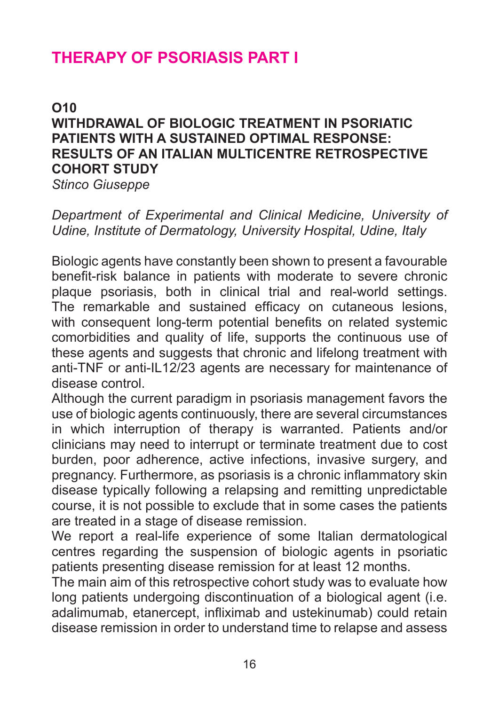# **THERAPY OF PSORIASIS PART I**

## **O10 WITHDRAWAL OF BIOLOGIC TREATMENT IN PSORIATIC PATIENTS WITH A SUSTAINED OPTIMAL RESPONSE: RESULTS OF AN ITALIAN MULTICENTRE RETROSPECTIVE COHORT STUDY**

*Stinco Giuseppe*

*Department of Experimental and Clinical Medicine, University of Udine, Institute of Dermatology, University Hospital, Udine, Italy*

Biologic agents have constantly been shown to present a favourable benefit-risk balance in patients with moderate to severe chronic plaque psoriasis, both in clinical trial and real-world settings. The remarkable and sustained efficacy on cutaneous lesions, with consequent long-term potential benefits on related systemic comorbidities and quality of life, supports the continuous use of these agents and suggests that chronic and lifelong treatment with anti-TNF or anti-IL12/23 agents are necessary for maintenance of disease control.

Although the current paradigm in psoriasis management favors the use of biologic agents continuously, there are several circumstances in which interruption of therapy is warranted. Patients and/or clinicians may need to interrupt or terminate treatment due to cost burden, poor adherence, active infections, invasive surgery, and pregnancy. Furthermore, as psoriasis is a chronic inflammatory skin disease typically following a relapsing and remitting unpredictable course, it is not possible to exclude that in some cases the patients are treated in a stage of disease remission.

We report a real-life experience of some Italian dermatological centres regarding the suspension of biologic agents in psoriatic patients presenting disease remission for at least 12 months.

The main aim of this retrospective cohort study was to evaluate how long patients undergoing discontinuation of a biological agent (i.e. adalimumab, etanercept, infliximab and ustekinumab) could retain disease remission in order to understand time to relapse and assess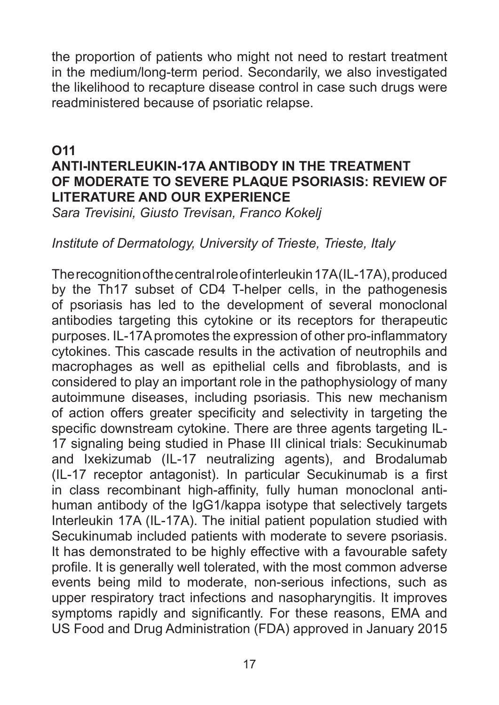the proportion of patients who might not need to restart treatment in the medium/long-term period. Secondarily, we also investigated the likelihood to recapture disease control in case such drugs were readministered because of psoriatic relapse.

### **O11 ANTI-INTERLEUKIN-17A ANTIBODY IN THE TREATMENT OF MODERATE TO SEVERE PLAQUE PSORIASIS: REVIEW OF LITERATURE AND OUR EXPERIENCE**

*Sara Trevisini, Giusto Trevisan, Franco Kokelj*

### *Institute of Dermatology, University of Trieste, Trieste, Italy*

The recognition of the central role of interleukin17A(IL-17A), produced by the Th17 subset of CD4 T-helper cells, in the pathogenesis of psoriasis has led to the development of several monoclonal antibodies targeting this cytokine or its receptors for therapeutic purposes. IL-17A promotes the expression of other pro-inflammatory cytokines. This cascade results in the activation of neutrophils and macrophages as well as epithelial cells and fibroblasts, and is considered to play an important role in the pathophysiology of many autoimmune diseases, including psoriasis. This new mechanism of action offers greater specificity and selectivity in targeting the specific downstream cytokine. There are three agents targeting IL-17 signaling being studied in Phase III clinical trials: Secukinumab and Ixekizumab (IL-17 neutralizing agents), and Brodalumab (IL-17 receptor antagonist). In particular Secukinumab is a first in class recombinant high-affinity, fully human monoclonal antihuman antibody of the IgG1/kappa isotype that selectively targets Interleukin 17A (IL-17A). The initial patient population studied with Secukinumab included patients with moderate to severe psoriasis. It has demonstrated to be highly effective with a favourable safety profile. It is generally well tolerated, with the most common adverse events being mild to moderate, non-serious infections, such as upper respiratory tract infections and nasopharyngitis. It improves symptoms rapidly and significantly. For these reasons, EMA and US Food and Drug Administration (FDA) approved in January 2015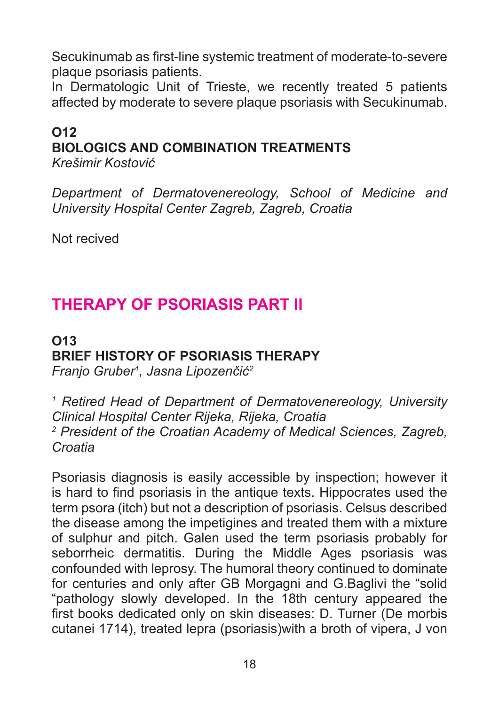Secukinumab as first-line systemic treatment of moderate-to-severe plaque psoriasis patients.

In Dermatologic Unit of Trieste, we recently treated 5 patients affected by moderate to severe plaque psoriasis with Secukinumab.

## **O12 BIOLOGICS AND COMBINATION TREATMENTS**

*Krešimir Kostović*

*Department of Dermatovenereology, School of Medicine and University Hospital Center Zagreb, Zagreb, Croatia* 

Not recived

# **THERAPY OF PSORIASIS PART II**

#### **O13 BRIEF HISTORY OF PSORIASIS THERAPY** *Franjo Gruber<sup>1</sup> , Jasna Lipozenčić<sup>2</sup>*

*1 Retired Head of Department of Dermatovenereology, University Clinical Hospital Center Rijeka, Rijeka, Croatia 2 President of the Croatian Academy of Medical Sciences, Zagreb, Croatia*

Psoriasis diagnosis is easily accessible by inspection; however it is hard to find psoriasis in the antique texts. Hippocrates used the term psora (itch) but not a description of psoriasis. Celsus described the disease among the impetigines and treated them with a mixture of sulphur and pitch. Galen used the term psoriasis probably for seborrheic dermatitis. During the Middle Ages psoriasis was confounded with leprosy. The humoral theory continued to dominate for centuries and only after GB Morgagni and G.Baglivi the "solid "pathology slowly developed. In the 18th century appeared the first books dedicated only on skin diseases: D. Turner (De morbis cutanei 1714), treated lepra (psoriasis)with a broth of vipera, J von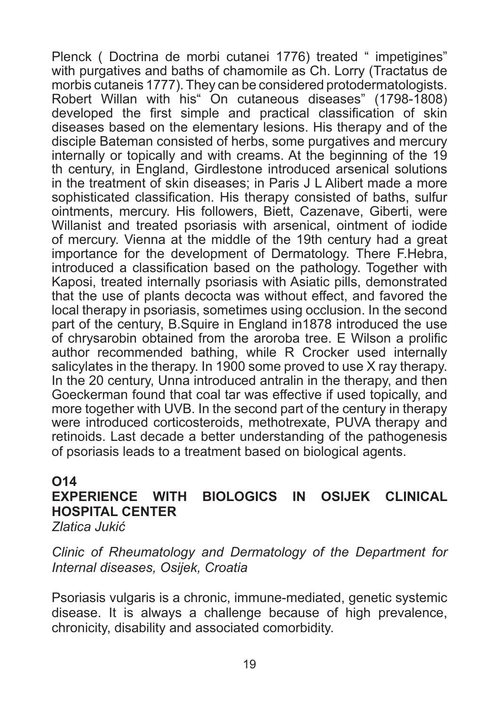Plenck ( Doctrina de morbi cutanei 1776) treated " impetigines" with purgatives and baths of chamomile as Ch. Lorry (Tractatus de morbis cutaneis 1777). They can be considered protodermatologists. Robert Willan with his" On cutaneous diseases" (1798-1808) developed the first simple and practical classification of skin diseases based on the elementary lesions. His therapy and of the disciple Bateman consisted of herbs, some purgatives and mercury internally or topically and with creams. At the beginning of the 19 th century, in England, Girdlestone introduced arsenical solutions in the treatment of skin diseases; in Paris J L Alibert made a more sophisticated classification. His therapy consisted of baths, sulfur ointments, mercury. His followers, Biett, Cazenave, Giberti, were Willanist and treated psoriasis with arsenical, ointment of iodide of mercury. Vienna at the middle of the 19th century had a great importance for the development of Dermatology. There F.Hebra, introduced a classification based on the pathology. Together with Kaposi, treated internally psoriasis with Asiatic pills, demonstrated that the use of plants decocta was without effect, and favored the local therapy in psoriasis, sometimes using occlusion. In the second part of the century, B.Squire in England in1878 introduced the use of chrysarobin obtained from the aroroba tree. E Wilson a prolific author recommended bathing, while R Crocker used internally salicylates in the therapy. In 1900 some proved to use X ray therapy. In the 20 century, Unna introduced antralin in the therapy, and then Goeckerman found that coal tar was effective if used topically, and more together with UVB. In the second part of the century in therapy were introduced corticosteroids, methotrexate, PUVA therapy and retinoids. Last decade a better understanding of the pathogenesis of psoriasis leads to a treatment based on biological agents.

#### **O14**

# **EXPERIENCE WITH BIOLOGICS IN OSIJEK CLINICAL HOSPITAL CENTER**

*Zlatica Jukić*

*Clinic of Rheumatology and Dermatology of the Department for Internal diseases, Osijek, Croatia*

Psoriasis vulgaris is a chronic, immune-mediated, genetic systemic disease. It is always a challenge because of high prevalence, chronicity, disability and associated comorbidity.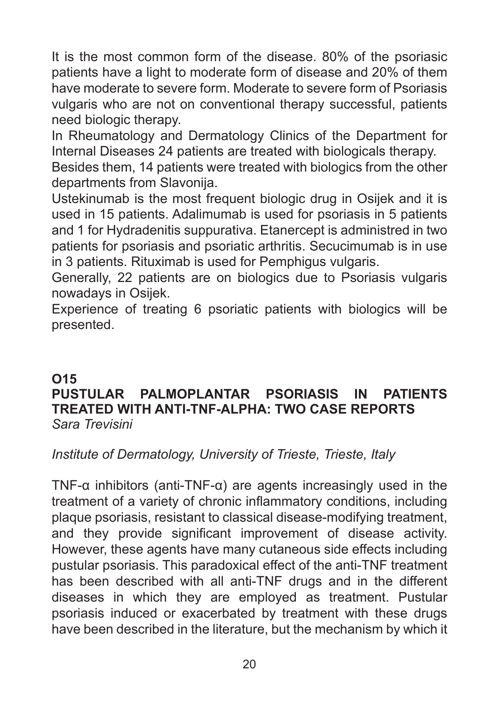It is the most common form of the disease. 80% of the psoriasic patients have a light to moderate form of disease and 20% of them have moderate to severe form. Moderate to severe form of Psoriasis vulgaris who are not on conventional therapy successful, patients need biologic therapy.

In Rheumatology and Dermatology Clinics of the Department for Internal Diseases 24 patients are treated with biologicals therapy.

Besides them, 14 patients were treated with biologics from the other departments from Slavonija.

Ustekinumab is the most frequent biologic drug in Osijek and it is used in 15 patients. Adalimumab is used for psoriasis in 5 patients and 1 for Hydradenitis suppurativa. Etanercept is administred in two patients for psoriasis and psoriatic arthritis. Secucimumab is in use in 3 patients. Rituximab is used for Pemphigus vulgaris.

Generally, 22 patients are on biologics due to Psoriasis vulgaris nowadays in Osijek.

Experience of treating 6 psoriatic patients with biologics will be presented.

### **O15**

### **PUSTULAR PALMOPLANTAR PSORIASIS IN PATIENTS TREATED WITH ANTI-TNF-ALPHA: TWO CASE REPORTS** *Sara Trevisini*

### *Institute of Dermatology, University of Trieste, Trieste, Italy*

TNF-α inhibitors (anti-TNF-α) are agents increasingly used in the treatment of a variety of chronic inflammatory conditions, including plaque psoriasis, resistant to classical disease-modifying treatment, and they provide significant improvement of disease activity. However, these agents have many cutaneous side effects including pustular psoriasis. This paradoxical effect of the anti-TNF treatment has been described with all anti-TNF drugs and in the different diseases in which they are employed as treatment. Pustular psoriasis induced or exacerbated by treatment with these drugs have been described in the literature, but the mechanism by which it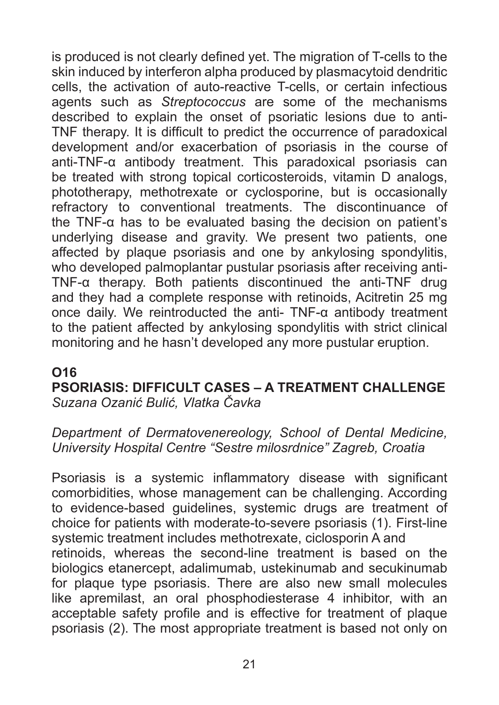is produced is not clearly defined yet. The migration of T-cells to the skin induced by interferon alpha produced by plasmacytoid dendritic cells, the activation of auto-reactive T-cells, or certain infectious agents such as *Streptococcus* are some of the mechanisms described to explain the onset of psoriatic lesions due to anti-TNF therapy. It is difficult to predict the occurrence of paradoxical development and/or exacerbation of psoriasis in the course of anti-TNF-α antibody treatment. This paradoxical psoriasis can be treated with strong topical corticosteroids, vitamin D analogs, phototherapy, methotrexate or cyclosporine, but is occasionally refractory to conventional treatments. The discontinuance of the TNF-α has to be evaluated basing the decision on patient's underlying disease and gravity. We present two patients, one affected by plaque psoriasis and one by ankylosing spondylitis, who developed palmoplantar pustular psoriasis after receiving anti-TNF-α therapy. Both patients discontinued the anti-TNF drug and they had a complete response with retinoids, Acitretin 25 mg once daily. We reintroducted the anti- TNF-α antibody treatment to the patient affected by ankylosing spondylitis with strict clinical monitoring and he hasn't developed any more pustular eruption.

### **O16**

### **PSORIASIS: DIFFICULT CASES – A TREATMENT CHALLENGE** *Suzana Ozanić Bulić, Vlatka Čavka*

*Department of Dermatovenereology, School of Dental Medicine, University Hospital Centre "Sestre milosrdnice" Zagreb, Croatia*

Psoriasis is a systemic inflammatory disease with significant comorbidities, whose management can be challenging. According to evidence-based guidelines, systemic drugs are treatment of choice for patients with moderate-to-severe psoriasis (1). First-line systemic treatment includes methotrexate, ciclosporin A and retinoids, whereas the second-line treatment is based on the biologics etanercept, adalimumab, ustekinumab and secukinumab for plaque type psoriasis. There are also new small molecules like apremilast, an oral phosphodiesterase 4 inhibitor, with an acceptable safety profile and is effective for treatment of plaque psoriasis (2). The most appropriate treatment is based not only on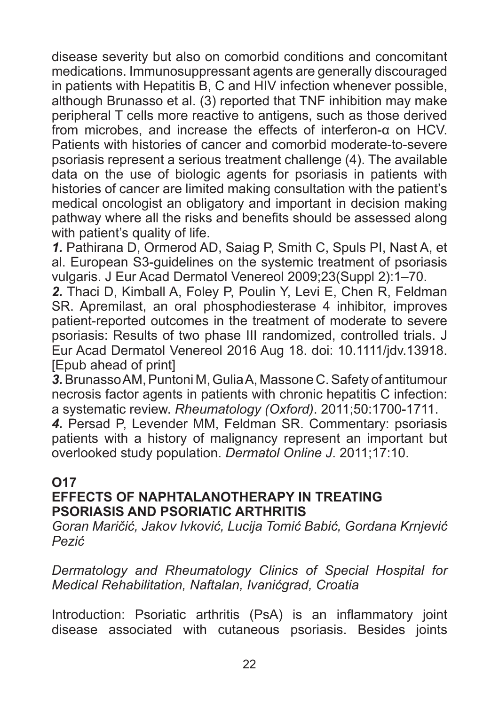disease severity but also on comorbid conditions and concomitant medications. Immunosuppressant agents are generally discouraged in patients with Hepatitis B, C and HIV infection whenever possible, although Brunasso et al. (3) reported that TNF inhibition may make peripheral T cells more reactive to antigens, such as those derived from microbes, and increase the effects of interferon-α on HCV. Patients with histories of cancer and comorbid moderate-to-severe psoriasis represent a serious treatment challenge (4). The available data on the use of biologic agents for psoriasis in patients with histories of cancer are limited making consultation with the patient's medical oncologist an obligatory and important in decision making pathway where all the risks and benefits should be assessed along with patient's quality of life.

*1.* Pathirana D, Ormerod AD, Saiag P, Smith C, Spuls PI, Nast A, et al. European S3-guidelines on the systemic treatment of psoriasis vulgaris. J Eur Acad Dermatol Venereol 2009;23(Suppl 2):1–70.

*2.* Thaci D, Kimball A, Foley P, Poulin Y, Levi E, Chen R, Feldman SR. Apremilast, an oral phosphodiesterase 4 inhibitor, improves patient-reported outcomes in the treatment of moderate to severe psoriasis: Results of two phase III randomized, controlled trials. J Eur Acad Dermatol Venereol 2016 Aug 18. doi: 10.1111/jdv.13918. [Epub ahead of print]

*3.* Brunasso AM, Puntoni M, Gulia A, Massone C. Safety of antitumour necrosis factor agents in patients with chronic hepatitis C infection: a systematic review. *Rheumatology (Oxford)*. 2011;50:1700-1711.

*4.* Persad P, Levender MM, Feldman SR. Commentary: psoriasis patients with a history of malignancy represent an important but overlooked study population. *Dermatol Online J*. 2011;17:10.

### **O17**

### **EFFECTS OF NAPHTALANOTHERAPY IN TREATING PSORIASIS AND PSORIATIC ARTHRITIS**

*Goran Maričić, Jakov Ivković, Lucija Tomić Babić, Gordana Krnjević Pezić*

*Dermatology and Rheumatology Clinics of Special Hospital for Medical Rehabilitation, Naftalan, Ivanićgrad, Croatia*

Introduction: Psoriatic arthritis (PsA) is an inflammatory joint disease associated with cutaneous psoriasis. Besides joints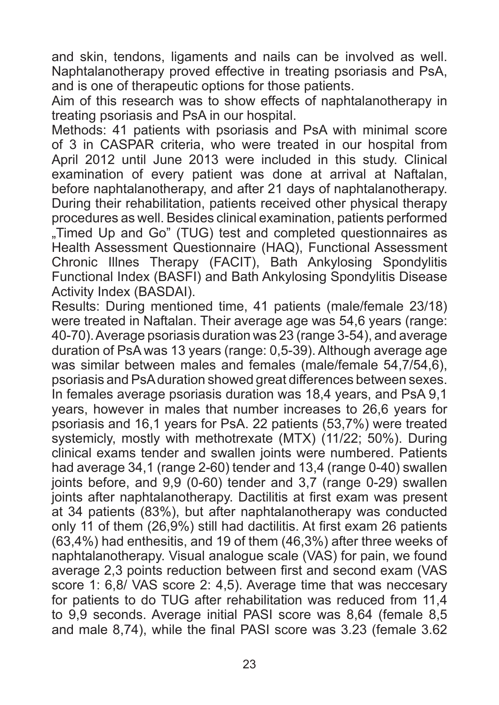and skin, tendons, ligaments and nails can be involved as well. Naphtalanotherapy proved effective in treating psoriasis and PsA, and is one of therapeutic options for those patients.

Aim of this research was to show effects of naphtalanotherapy in treating psoriasis and PsA in our hospital.

Methods: 41 patients with psoriasis and PsA with minimal score of 3 in CASPAR criteria, who were treated in our hospital from April 2012 until June 2013 were included in this study. Clinical examination of every patient was done at arrival at Naftalan, before naphtalanotherapy, and after 21 days of naphtalanotherapy. During their rehabilitation, patients received other physical therapy procedures as well. Besides clinical examination, patients performed "Timed Up and Go" (TUG) test and completed questionnaires as Health Assessment Questionnaire (HAQ), Functional Assessment Chronic Illnes Therapy (FACIT), Bath Ankylosing Spondylitis Functional Index (BASFI) and Bath Ankylosing Spondylitis Disease Activity Index (BASDAI).

Results: During mentioned time, 41 patients (male/female 23/18) were treated in Naftalan. Their average age was 54,6 years (range: 40-70). Average psoriasis duration was 23 (range 3-54), and average duration of PsA was 13 years (range: 0,5-39). Although average age was similar between males and females (male/female 54,7/54,6), psoriasis and PsA duration showed great differences between sexes. In females average psoriasis duration was 18,4 years, and PsA 9,1 years, however in males that number increases to 26,6 years for psoriasis and 16,1 years for PsA. 22 patients (53,7%) were treated systemicly, mostly with methotrexate (MTX) (11/22; 50%). During clinical exams tender and swallen joints were numbered. Patients had average 34,1 (range 2-60) tender and 13,4 (range 0-40) swallen joints before, and 9,9 (0-60) tender and 3,7 (range 0-29) swallen joints after naphtalanotherapy. Dactilitis at first exam was present at 34 patients (83%), but after naphtalanotherapy was conducted only 11 of them (26,9%) still had dactilitis. At first exam 26 patients (63,4%) had enthesitis, and 19 of them (46,3%) after three weeks of naphtalanotherapy. Visual analogue scale (VAS) for pain, we found average 2,3 points reduction between first and second exam (VAS score 1: 6,8/ VAS score 2: 4,5). Average time that was neccesary for patients to do TUG after rehabilitation was reduced from 11,4 to 9,9 seconds. Average initial PASI score was 8,64 (female 8,5 and male 8,74), while the final PASI score was 3.23 (female 3.62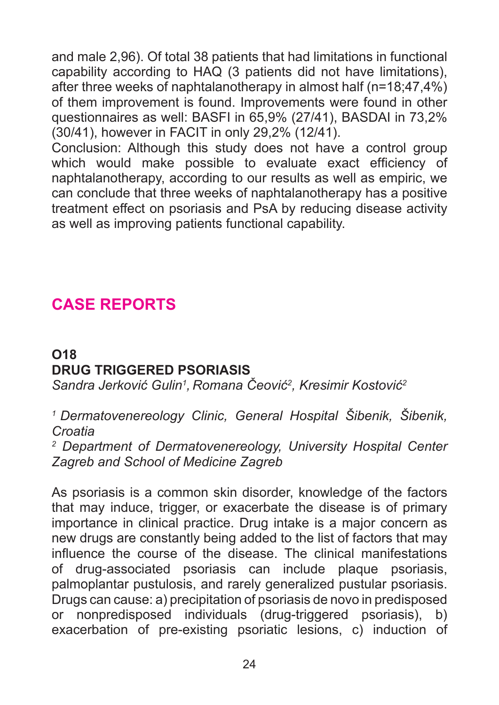and male 2,96). Of total 38 patients that had limitations in functional capability according to HAQ (3 patients did not have limitations), after three weeks of naphtalanotherapy in almost half (n=18;47,4%) of them improvement is found. Improvements were found in other questionnaires as well: BASFI in 65,9% (27/41), BASDAI in 73,2% (30/41), however in FACIT in only 29,2% (12/41).

Conclusion: Although this study does not have a control group which would make possible to evaluate exact efficiency of naphtalanotherapy, according to our results as well as empiric, we can conclude that three weeks of naphtalanotherapy has a positive treatment effect on psoriasis and PsA by reducing disease activity as well as improving patients functional capability.

# **CASE REPORTS**

## **O18 DRUG TRIGGERED PSORIASIS**

*Sandra Jerković Gulin<sup>1</sup> , Romana Čeović<sup>2</sup> , Kresimir Kostović<sup>2</sup>*

*<sup>1</sup>Dermatovenereology Clinic, General Hospital Šibenik, Šibenik, Croatia*

*2 Department of Dermatovenereology, University Hospital Center Zagreb and School of Medicine Zagreb*

As psoriasis is a common skin disorder, knowledge of the factors that may induce, trigger, or exacerbate the disease is of primary importance in clinical practice. Drug intake is a major concern as new drugs are constantly being added to the list of factors that may influence the course of the disease. The clinical manifestations of drug-associated psoriasis can include plaque psoriasis, palmoplantar pustulosis, and rarely generalized pustular psoriasis. Drugs can cause: a) precipitation of psoriasis de novo in predisposed or nonpredisposed individuals (drug-triggered psoriasis), b) exacerbation of pre-existing psoriatic lesions, c) induction of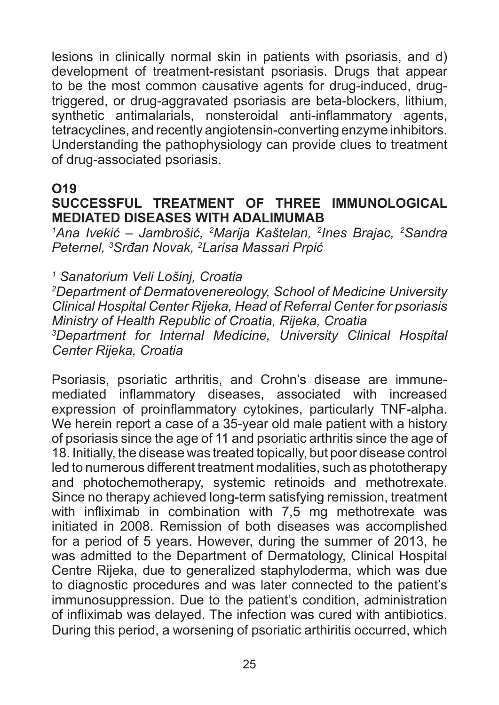lesions in clinically normal skin in patients with psoriasis, and d) development of treatment-resistant psoriasis. Drugs that appear to be the most common causative agents for drug-induced, drugtriggered, or drug-aggravated psoriasis are beta-blockers, lithium, synthetic antimalarials, nonsteroidal anti-inflammatory agents, tetracyclines, and recently angiotensin-converting enzyme inhibitors. Understanding the pathophysiology can provide clues to treatment of drug-associated psoriasis.

#### **O19**

### **SUCCESSFUL TREATMENT OF THREE IMMUNOLOGICAL MEDIATED DISEASES WITH ADALIMUMAB**

*1 Ana Ivekić – Jambrošić, <sup>2</sup> Marija Kaštelan, <sup>2</sup> Ines Brajac, <sup>2</sup> Sandra Peternel, <sup>3</sup> Srđan Novak, <sup>2</sup> Larisa Massari Prpić*

*1 Sanatorium Veli Lošinj, Croatia*

*2 Department of Dermatovenereology, School of Medicine University Clinical Hospital Center Rijeka, Head of Referral Center for psoriasis Ministry of Health Republic of Croatia, Rijeka, Croatia 3 Department for Internal Medicine, University Clinical Hospital Center Rijeka, Croatia*

Psoriasis, psoriatic arthritis, and Crohn's disease are immunemediated inflammatory diseases, associated with increased expression of proinflammatory cytokines, particularly TNF-alpha. We herein report a case of a 35-year old male patient with a history of psoriasis since the age of 11 and psoriatic arthritis since the age of 18. Initially, the disease was treated topically, but poor disease control led to numerous different treatment modalities, such as phototherapy and photochemotherapy, systemic retinoids and methotrexate. Since no therapy achieved long-term satisfying remission, treatment with infliximab in combination with 7,5 mg methotrexate was initiated in 2008. Remission of both diseases was accomplished for a period of 5 years. However, during the summer of 2013, he was admitted to the Department of Dermatology, Clinical Hospital Centre Rijeka, due to generalized staphyloderma, which was due to diagnostic procedures and was later connected to the patient's immunosuppression. Due to the patient's condition, administration of infliximab was delayed. The infection was cured with antibiotics. During this period, a worsening of psoriatic arthiritis occurred, which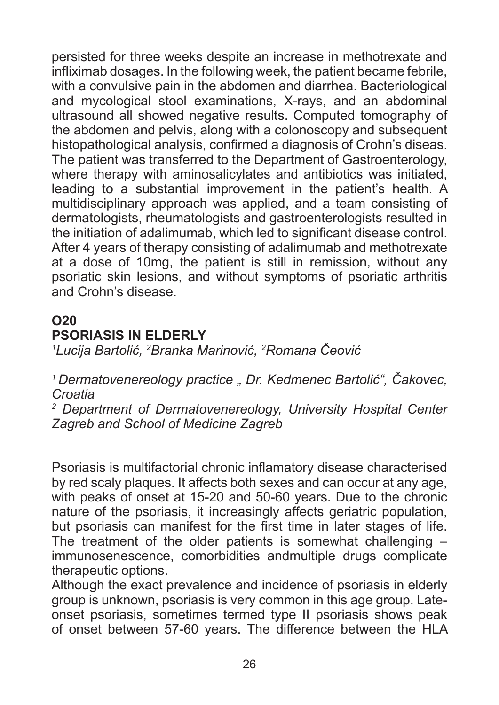persisted for three weeks despite an increase in methotrexate and infliximab dosages. In the following week, the patient became febrile, with a convulsive pain in the abdomen and diarrhea. Bacteriological and mycological stool examinations, X-rays, and an abdominal ultrasound all showed negative results. Computed tomography of the abdomen and pelvis, along with a colonoscopy and subsequent histopathological analysis, confirmed a diagnosis of Crohn's diseas. The patient was transferred to the Department of Gastroenterology, where therapy with aminosalicylates and antibiotics was initiated, leading to a substantial improvement in the patient's health. A multidisciplinary approach was applied, and a team consisting of dermatologists, rheumatologists and gastroenterologists resulted in the initiation of adalimumab, which led to significant disease control. After 4 years of therapy consisting of adalimumab and methotrexate at a dose of 10mg, the patient is still in remission, without any psoriatic skin lesions, and without symptoms of psoriatic arthritis and Crohn's disease.

## **O20 PSORIASIS IN ELDERLY**

*1 Lucija Bartolić, <sup>2</sup> Branka Marinović, <sup>2</sup> Romana Čeović*

*<sup>1</sup>Dermatovenereology practice " Dr. Kedmenec Bartolić", Čakovec, Croatia*

*2 Department of Dermatovenereology, University Hospital Center Zagreb and School of Medicine Zagreb*

Psoriasis is multifactorial chronic inflamatory disease characterised by red scaly plaques. It affects both sexes and can occur at any age, with peaks of onset at 15-20 and 50-60 years. Due to the chronic nature of the psoriasis, it increasingly affects geriatric population, but psoriasis can manifest for the first time in later stages of life. The treatment of the older patients is somewhat challenging  $$ immunosenescence, comorbidities andmultiple drugs complicate therapeutic options.

Although the exact prevalence and incidence of psoriasis in elderly group is unknown, psoriasis is very common in this age group. Lateonset psoriasis, sometimes termed type II psoriasis shows peak of onset between 57-60 years. The difference between the HLA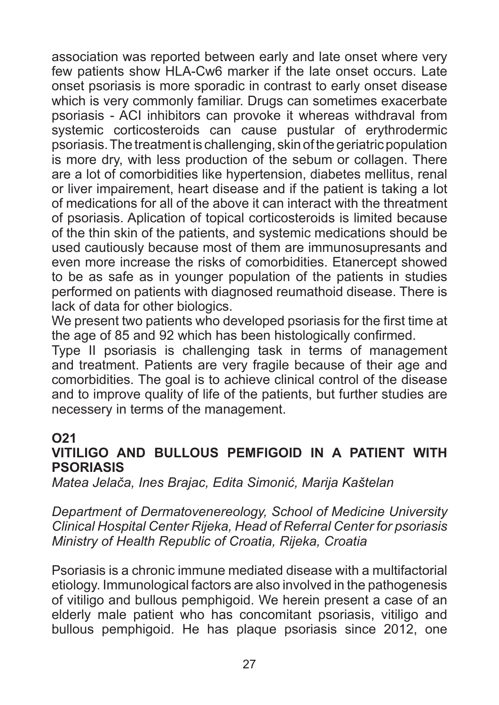association was reported between early and late onset where very few patients show HLA-Cw6 marker if the late onset occurs. Late onset psoriasis is more sporadic in contrast to early onset disease which is very commonly familiar. Drugs can sometimes exacerbate psoriasis - ACI inhibitors can provoke it whereas withdraval from systemic corticosteroids can cause pustular of erythrodermic psoriasis. The treatment is challenging, skin of the geriatric population is more dry, with less production of the sebum or collagen. There are a lot of comorbidities like hypertension, diabetes mellitus, renal or liver impairement, heart disease and if the patient is taking a lot of medications for all of the above it can interact with the threatment of psoriasis. Aplication of topical corticosteroids is limited because of the thin skin of the patients, and systemic medications should be used cautiously because most of them are immunosupresants and even more increase the risks of comorbidities. Etanercept showed to be as safe as in younger population of the patients in studies performed on patients with diagnosed reumathoid disease. There is lack of data for other biologics.

We present two patients who developed psoriasis for the first time at the age of 85 and 92 which has been histologically confirmed.

Type II psoriasis is challenging task in terms of management and treatment. Patients are very fragile because of their age and comorbidities. The goal is to achieve clinical control of the disease and to improve quality of life of the patients, but further studies are necessery in terms of the management.

#### **O21**

#### **VITILIGO AND BULLOUS PEMFIGOID IN A PATIENT WITH PSORIASIS**

*Matea Jelača, Ines Brajac, Edita Simonić, Marija Kaštelan*

*Department of Dermatovenereology, School of Medicine University Clinical Hospital Center Rijeka, Head of Referral Center for psoriasis Ministry of Health Republic of Croatia, Rijeka, Croatia*

Psoriasis is a chronic immune mediated disease with a multifactorial etiology. Immunological factors are also involved in the pathogenesis of vitiligo and bullous pemphigoid. We herein present a case of an elderly male patient who has concomitant psoriasis, vitiligo and bullous pemphigoid. He has plaque psoriasis since 2012, one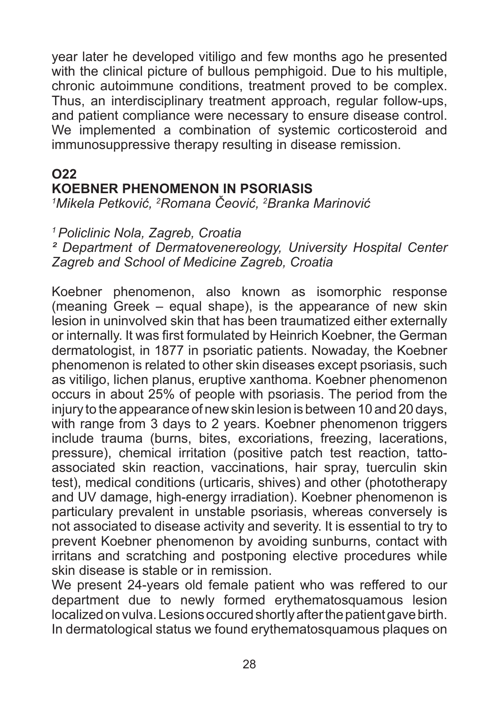year later he developed vitiligo and few months ago he presented with the clinical picture of bullous pemphigoid. Due to his multiple, chronic autoimmune conditions, treatment proved to be complex. Thus, an interdisciplinary treatment approach, regular follow-ups, and patient compliance were necessary to ensure disease control. We implemented a combination of systemic corticosteroid and immunosuppressive therapy resulting in disease remission.

#### **O22 KOEBNER PHENOMENON IN PSORIASIS**

*1 Mikela Petković, <sup>2</sup> Romana Čeović, <sup>2</sup> Branka Marinović*

### *<sup>1</sup>Policlinic Nola, Zagreb, Croatia*

*² Department of Dermatovenereology, University Hospital Center Zagreb and School of Medicine Zagreb, Croatia*

Koebner phenomenon, also known as isomorphic response (meaning Greek – equal shape), is the appearance of new skin lesion in uninvolved skin that has been traumatized either externally or internally. It was first formulated by Heinrich Koebner, the German dermatologist, in 1877 in psoriatic patients. Nowaday, the Koebner phenomenon is related to other skin diseases except psoriasis, such as vitiligo, lichen planus, eruptive xanthoma. Koebner phenomenon occurs in about 25% of people with psoriasis. The period from the injury to the appearance of new skin lesion is between 10 and 20 days, with range from 3 days to 2 years. Koebner phenomenon triggers include trauma (burns, bites, excoriations, freezing, lacerations, pressure), chemical irritation (positive patch test reaction, tattoassociated skin reaction, vaccinations, hair spray, tuerculin skin test), medical conditions (urticaris, shives) and other (phototherapy and UV damage, high-energy irradiation). Koebner phenomenon is particulary prevalent in unstable psoriasis, whereas conversely is not associated to disease activity and severity. It is essential to try to prevent Koebner phenomenon by avoiding sunburns, contact with irritans and scratching and postponing elective procedures while skin disease is stable or in remission.

We present 24-years old female patient who was reffered to our department due to newly formed erythematosquamous lesion localized on vulva. Lesions occured shortly after the patient gave birth. In dermatological status we found erythematosquamous plaques on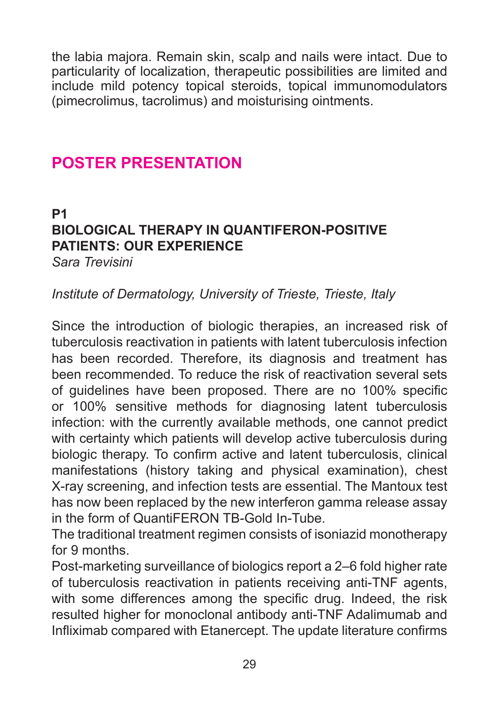the labia majora. Remain skin, scalp and nails were intact. Due to particularity of localization, therapeutic possibilities are limited and include mild potency topical steroids, topical immunomodulators (pimecrolimus, tacrolimus) and moisturising ointments.

## **POSTER PRESENTATION**

**P1** 

#### **BIOLOGICAL THERAPY IN QUANTIFERON-POSITIVE PATIENTS: OUR EXPERIENCE** *Sara Trevisini*

### *Institute of Dermatology, University of Trieste, Trieste, Italy*

Since the introduction of biologic therapies, an increased risk of tuberculosis reactivation in patients with latent tuberculosis infection has been recorded. Therefore, its diagnosis and treatment has been recommended. To reduce the risk of reactivation several sets of guidelines have been proposed. There are no 100% specific or 100% sensitive methods for diagnosing latent tuberculosis infection: with the currently available methods, one cannot predict with certainty which patients will develop active tuberculosis during biologic therapy. To confirm active and latent tuberculosis, clinical manifestations (history taking and physical examination), chest X-ray screening, and infection tests are essential. The Mantoux test has now been replaced by the new interferon gamma release assay in the form of QuantiFERON TB-Gold In-Tube.

The traditional treatment regimen consists of isoniazid monotherapy for 9 months.

Post-marketing surveillance of biologics report a 2–6 fold higher rate of tuberculosis reactivation in patients receiving anti-TNF agents, with some differences among the specific drug. Indeed, the risk resulted higher for monoclonal antibody anti-TNF Adalimumab and Infliximab compared with Etanercept. The update literature confirms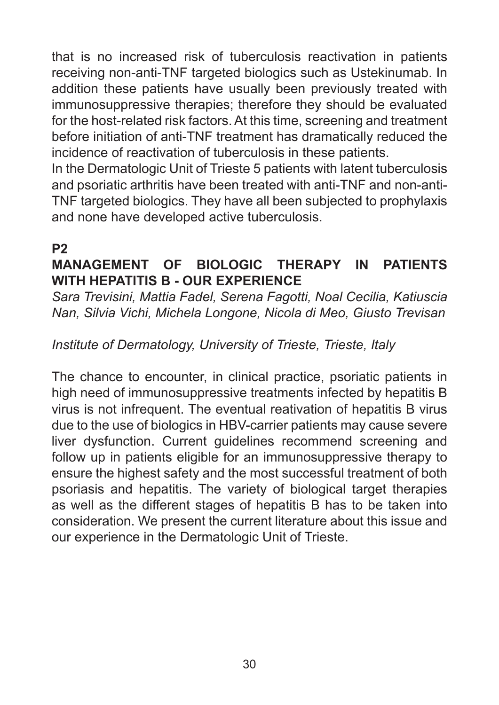that is no increased risk of tuberculosis reactivation in patients receiving non-anti-TNF targeted biologics such as Ustekinumab. In addition these patients have usually been previously treated with immunosuppressive therapies; therefore they should be evaluated for the host-related risk factors. At this time, screening and treatment before initiation of anti-TNF treatment has dramatically reduced the incidence of reactivation of tuberculosis in these patients.

In the Dermatologic Unit of Trieste 5 patients with latent tuberculosis and psoriatic arthritis have been treated with anti-TNF and non-anti-TNF targeted biologics. They have all been subjected to prophylaxis and none have developed active tuberculosis.

## **P2**

## **MANAGEMENT OF BIOLOGIC THERAPY IN PATIENTS WITH HEPATITIS B - OUR EXPERIENCE**

*Sara Trevisini, Mattia Fadel, Serena Fagotti, Noal Cecilia, Katiuscia Nan, Silvia Vichi, Michela Longone, Nicola di Meo, Giusto Trevisan*

## *Institute of Dermatology, University of Trieste, Trieste, Italy*

The chance to encounter, in clinical practice, psoriatic patients in high need of immunosuppressive treatments infected by hepatitis B virus is not infrequent. The eventual reativation of hepatitis B virus due to the use of biologics in HBV-carrier patients may cause severe liver dysfunction. Current guidelines recommend screening and follow up in patients eligible for an immunosuppressive therapy to ensure the highest safety and the most successful treatment of both psoriasis and hepatitis. The variety of biological target therapies as well as the different stages of hepatitis B has to be taken into consideration. We present the current literature about this issue and our experience in the Dermatologic Unit of Trieste.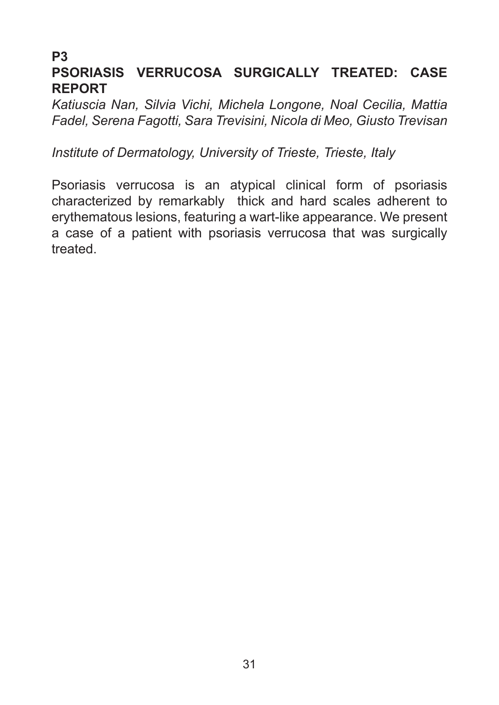#### **P3 PSORIASIS VERRUCOSA SURGICALLY TREATED: CASE REPORT**

*Katiuscia Nan, Silvia Vichi, Michela Longone, Noal Cecilia, Mattia Fadel, Serena Fagotti, Sara Trevisini, Nicola di Meo, Giusto Trevisan*

*Institute of Dermatology, University of Trieste, Trieste, Italy*

Psoriasis verrucosa is an atypical clinical form of psoriasis characterized by remarkably thick and hard scales adherent to erythematous lesions, featuring a wart-like appearance. We present a case of a patient with psoriasis verrucosa that was surgically treated.